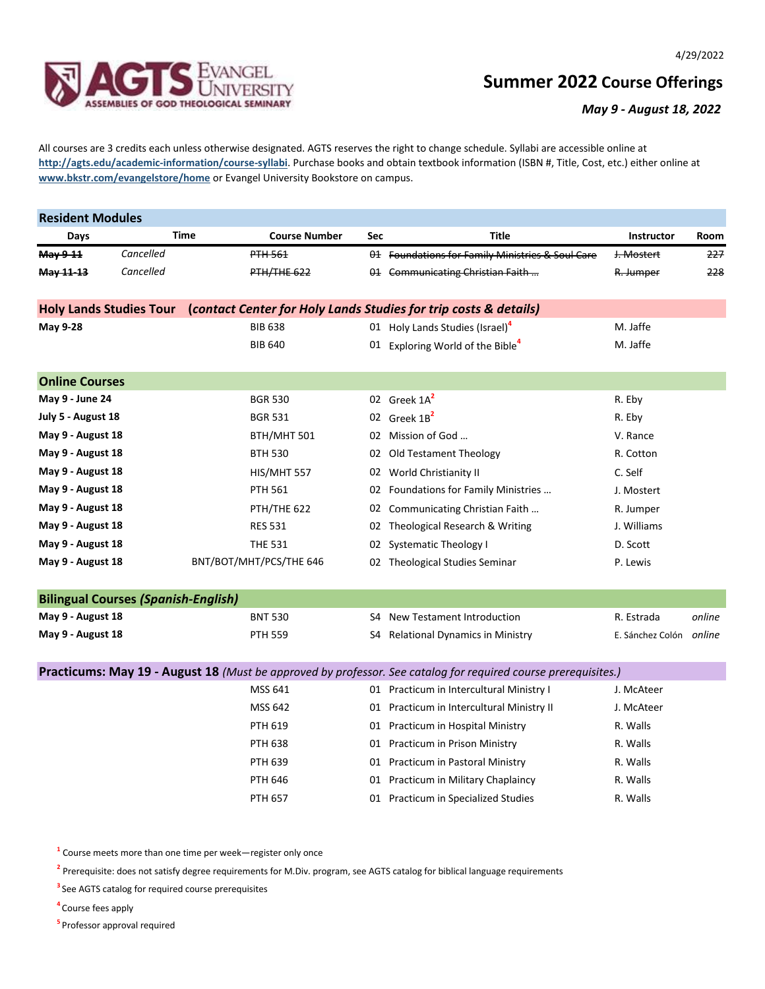

## **Summer 2022 Course Offerings**

## *May 9 - August 18, 2022*

All courses are 3 credits each unless otherwise designated. AGTS reserves the right to change schedule. Syllabi are accessible online at **http://agts.edu/academic-information/course-syllabi**. Purchase books and obtain textbook information (ISBN #, Title, Cost, etc.) either online at **www.bkstr.com/evangelstore/home** or Evangel University Bookstore on campus.

| <b>Resident Modules</b>                                                                            |                                            |             |                         |            |                                                                                                                |                         |        |  |  |
|----------------------------------------------------------------------------------------------------|--------------------------------------------|-------------|-------------------------|------------|----------------------------------------------------------------------------------------------------------------|-------------------------|--------|--|--|
| Days                                                                                               |                                            | <b>Time</b> | <b>Course Number</b>    | <b>Sec</b> | <b>Title</b>                                                                                                   | Instructor              | Room   |  |  |
| May 9-11                                                                                           | Cancelled                                  |             | <b>PTH 561</b>          |            | 01 Foundations for Family Ministries & Soul Care                                                               | J. Mostert              | 227    |  |  |
| May 11-13                                                                                          | Cancelled                                  |             | PTH/THE 622             |            | 01 Communicating Christian Faith                                                                               | R. Jumper               | 228    |  |  |
| <b>Holy Lands Studies Tour</b><br>(contact Center for Holy Lands Studies for trip costs & details) |                                            |             |                         |            |                                                                                                                |                         |        |  |  |
| <b>May 9-28</b>                                                                                    |                                            |             | <b>BIB 638</b>          |            | 01 Holy Lands Studies (Israel) <sup>4</sup>                                                                    | M. Jaffe                |        |  |  |
|                                                                                                    |                                            |             | <b>BIB 640</b>          |            | 01 Exploring World of the Bible <sup>4</sup>                                                                   | M. Jaffe                |        |  |  |
| <b>Online Courses</b>                                                                              |                                            |             |                         |            |                                                                                                                |                         |        |  |  |
| May 9 - June 24                                                                                    |                                            |             | <b>BGR 530</b>          |            | 02 Greek 1A <sup>2</sup>                                                                                       | R. Eby                  |        |  |  |
| July 5 - August 18                                                                                 |                                            |             | <b>BGR 531</b>          |            | 02 Greek 1B <sup>2</sup>                                                                                       | R. Eby                  |        |  |  |
| May 9 - August 18                                                                                  |                                            |             | BTH/MHT 501             |            | 02 Mission of God                                                                                              | V. Rance                |        |  |  |
| May 9 - August 18                                                                                  |                                            |             | <b>BTH 530</b>          |            | 02 Old Testament Theology                                                                                      | R. Cotton               |        |  |  |
| May 9 - August 18                                                                                  |                                            |             | HIS/MHT 557             |            | 02 World Christianity II                                                                                       | C. Self                 |        |  |  |
| May 9 - August 18                                                                                  |                                            |             | <b>PTH 561</b>          |            | 02 Foundations for Family Ministries                                                                           | J. Mostert              |        |  |  |
| May 9 - August 18                                                                                  |                                            |             | PTH/THE 622             | 02         | Communicating Christian Faith                                                                                  | R. Jumper               |        |  |  |
| May 9 - August 18                                                                                  |                                            |             | <b>RES 531</b>          |            | 02 Theological Research & Writing                                                                              | J. Williams             |        |  |  |
| May 9 - August 18                                                                                  |                                            |             | <b>THE 531</b>          |            | 02 Systematic Theology I                                                                                       | D. Scott                |        |  |  |
| May 9 - August 18                                                                                  |                                            |             | BNT/BOT/MHT/PCS/THE 646 |            | 02 Theological Studies Seminar                                                                                 | P. Lewis                |        |  |  |
|                                                                                                    | <b>Bilingual Courses (Spanish-English)</b> |             |                         |            |                                                                                                                |                         |        |  |  |
| May 9 - August 18                                                                                  |                                            |             | <b>BNT 530</b>          | S4         | New Testament Introduction                                                                                     | R. Estrada              | online |  |  |
| May 9 - August 18                                                                                  |                                            |             | <b>PTH 559</b>          |            | S4 Relational Dynamics in Ministry                                                                             | E. Sánchez Colón online |        |  |  |
|                                                                                                    |                                            |             |                         |            | Practicums: May 19 - August 18 (Must be approved by professor. See catalog for required course prerequisites.) |                         |        |  |  |
|                                                                                                    |                                            |             | MSS 641                 |            | 01 Practicum in Intercultural Ministry I                                                                       | J. McAteer              |        |  |  |
|                                                                                                    |                                            |             | <b>MSS 642</b>          |            | 01 Practicum in Intercultural Ministry II                                                                      | J. McAteer              |        |  |  |
|                                                                                                    |                                            |             | <b>PTH 619</b>          |            | 01 Practicum in Hospital Ministry                                                                              | R. Walls                |        |  |  |
|                                                                                                    |                                            |             | <b>PTH 638</b>          |            | 01 Practicum in Prison Ministry                                                                                | R. Walls                |        |  |  |
|                                                                                                    |                                            |             | PTH 639                 |            | 01 Practicum in Pastoral Ministry                                                                              | R. Walls                |        |  |  |
|                                                                                                    |                                            |             | <b>PTH 646</b>          |            | 01 Practicum in Military Chaplaincy                                                                            | R. Walls                |        |  |  |
|                                                                                                    |                                            |             | <b>PTH 657</b>          |            | 01 Practicum in Specialized Studies                                                                            | R. Walls                |        |  |  |

**1** Course meets more than one time per week—register only once

**2** Prerequisite: does not satisfy degree requirements for M.Div. program, see AGTS catalog for biblical language requirements

**<sup>3</sup>**See AGTS catalog for required course prerequisites

**<sup>4</sup>**Course fees apply

**<sup>5</sup>**Professor approval required